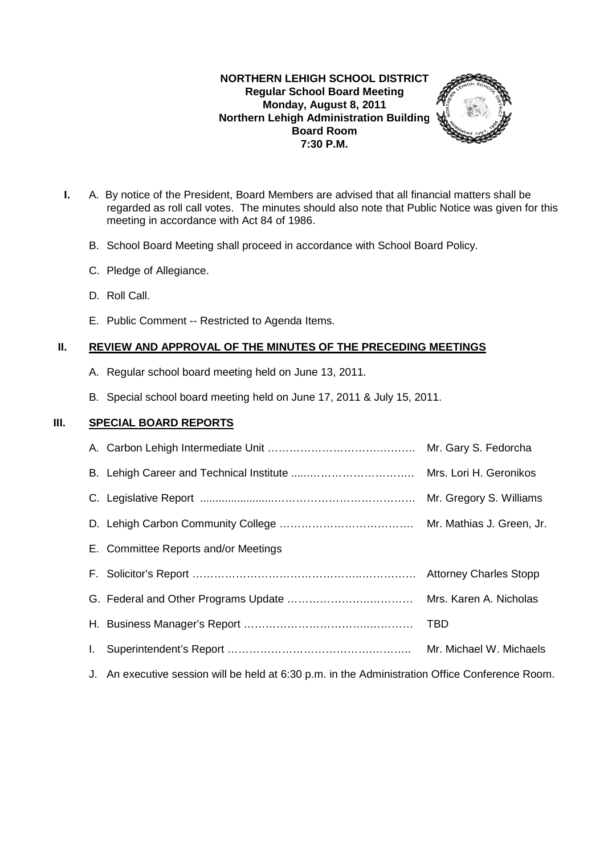## **NORTHERN LEHIGH SCHOOL DISTRICT Regular School Board Meeting Monday, August 8, 2011 Northern Lehigh Administration Building Board Room 7:30 P.M.**



- **I.** A. By notice of the President, Board Members are advised that all financial matters shall be regarded as roll call votes. The minutes should also note that Public Notice was given for this meeting in accordance with Act 84 of 1986.
	- B. School Board Meeting shall proceed in accordance with School Board Policy.
	- C. Pledge of Allegiance.
	- D. Roll Call.
	- E. Public Comment -- Restricted to Agenda Items.

## **II. REVIEW AND APPROVAL OF THE MINUTES OF THE PRECEDING MEETINGS**

- A. Regular school board meeting held on June 13, 2011.
- B. Special school board meeting held on June 17, 2011 & July 15, 2011.

## **III. SPECIAL BOARD REPORTS**

| E. Committee Reports and/or Meetings                                                            |                         |
|-------------------------------------------------------------------------------------------------|-------------------------|
|                                                                                                 |                         |
|                                                                                                 |                         |
|                                                                                                 | TBD                     |
|                                                                                                 | Mr. Michael W. Michaels |
| J. An executive session will be held at 6:30 p.m. in the Administration Office Conference Room. |                         |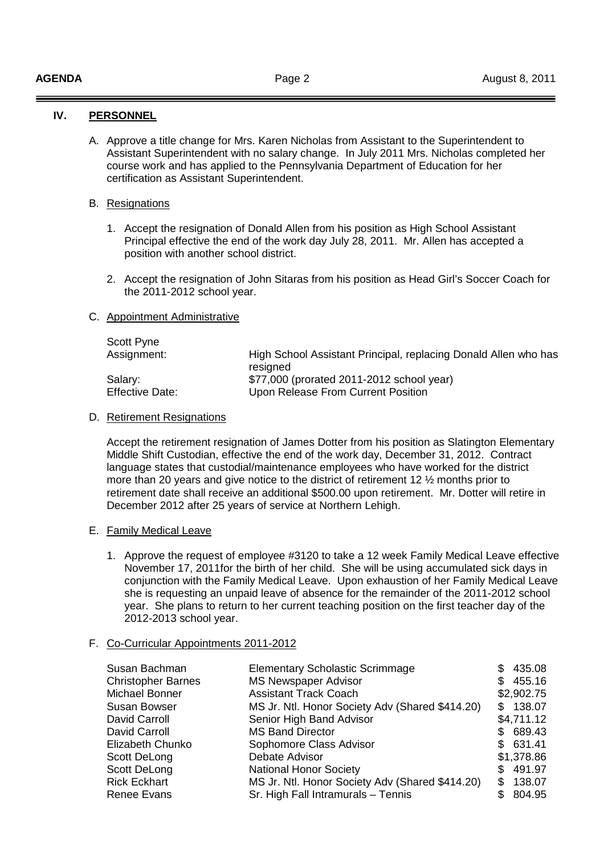## **IV. PERSONNEL**

A. Approve a title change for Mrs. Karen Nicholas from Assistant to the Superintendent to Assistant Superintendent with no salary change. In July 2011 Mrs. Nicholas completed her course work and has applied to the Pennsylvania Department of Education for her certification as Assistant Superintendent.

#### B. Resignations

- 1. Accept the resignation of Donald Allen from his position as High School Assistant Principal effective the end of the work day July 28, 2011. Mr. Allen has accepted a position with another school district.
- 2. Accept the resignation of John Sitaras from his position as Head Girl's Soccer Coach for the 2011-2012 school year.

## C. Appointment Administrative

| High School Assistant Principal, replacing Donald Allen who has |
|-----------------------------------------------------------------|
|                                                                 |
| \$77,000 (prorated 2011-2012 school year)                       |
| Upon Release From Current Position                              |
|                                                                 |

## D. Retirement Resignations

 Accept the retirement resignation of James Dotter from his position as Slatington Elementary Middle Shift Custodian, effective the end of the work day, December 31, 2012. Contract language states that custodial/maintenance employees who have worked for the district more than 20 years and give notice to the district of retirement 12 ½ months prior to retirement date shall receive an additional \$500.00 upon retirement. Mr. Dotter will retire in December 2012 after 25 years of service at Northern Lehigh.

#### E. Family Medical Leave

1. Approve the request of employee #3120 to take a 12 week Family Medical Leave effective November 17, 2011for the birth of her child. She will be using accumulated sick days in conjunction with the Family Medical Leave. Upon exhaustion of her Family Medical Leave she is requesting an unpaid leave of absence for the remainder of the 2011-2012 school year. She plans to return to her current teaching position on the first teacher day of the 2012-2013 school year.

#### F. Co-Curricular Appointments 2011-2012

| Susan Bachman             | <b>Elementary Scholastic Scrimmage</b>          | \$435.08     |
|---------------------------|-------------------------------------------------|--------------|
| <b>Christopher Barnes</b> | <b>MS Newspaper Advisor</b>                     | 455.16<br>S. |
| Michael Bonner            | <b>Assistant Track Coach</b>                    | \$2,902.75   |
| <b>Susan Bowser</b>       | MS Jr. Ntl. Honor Society Adv (Shared \$414.20) | \$138.07     |
| David Carroll             | Senior High Band Advisor                        | \$4,711.12   |
| David Carroll             | <b>MS Band Director</b>                         | \$689.43     |
| Elizabeth Chunko          | Sophomore Class Advisor                         | \$631.41     |
| Scott DeLong              | Debate Advisor                                  | \$1,378.86   |
| Scott DeLong              | <b>National Honor Society</b>                   | \$491.97     |
| <b>Rick Eckhart</b>       | MS Jr. Ntl. Honor Society Adv (Shared \$414.20) | 138.07<br>S  |
| <b>Renee Evans</b>        | Sr. High Fall Intramurals - Tennis              | 804.95       |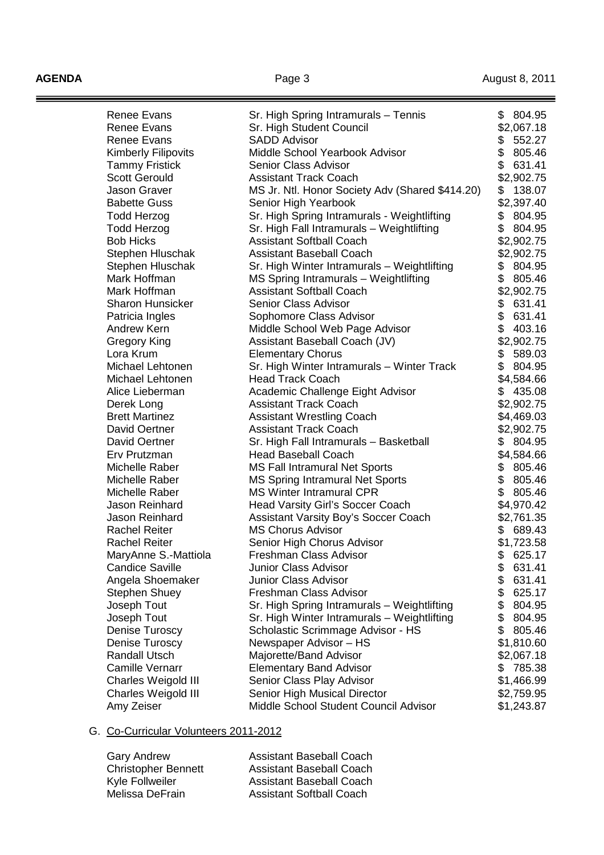**AGENDA Page 3 Page 3 August 8, 2011** 

ī

| <b>Renee Evans</b>         | Sr. High Spring Intramurals - Tennis            | \$<br>804.95 |
|----------------------------|-------------------------------------------------|--------------|
| <b>Renee Evans</b>         | Sr. High Student Council                        | \$2,067.18   |
| <b>Renee Evans</b>         | <b>SADD Advisor</b>                             | \$<br>552.27 |
| <b>Kimberly Filipovits</b> | Middle School Yearbook Advisor                  | \$<br>805.46 |
| <b>Tammy Fristick</b>      | Senior Class Advisor                            | \$<br>631.41 |
| <b>Scott Gerould</b>       | <b>Assistant Track Coach</b>                    | \$2,902.75   |
| Jason Graver               | MS Jr. Ntl. Honor Society Adv (Shared \$414.20) | \$<br>138.07 |
| <b>Babette Guss</b>        | Senior High Yearbook                            | \$2,397.40   |
| <b>Todd Herzog</b>         | Sr. High Spring Intramurals - Weightlifting     | \$<br>804.95 |
| <b>Todd Herzog</b>         | Sr. High Fall Intramurals - Weightlifting       | \$<br>804.95 |
| <b>Bob Hicks</b>           | <b>Assistant Softball Coach</b>                 | \$2,902.75   |
| Stephen Hluschak           | <b>Assistant Baseball Coach</b>                 | \$2,902.75   |
| Stephen Hluschak           | Sr. High Winter Intramurals - Weightlifting     | \$<br>804.95 |
| Mark Hoffman               | MS Spring Intramurals - Weightlifting           | \$<br>805.46 |
| Mark Hoffman               | <b>Assistant Softball Coach</b>                 | \$2,902.75   |
| <b>Sharon Hunsicker</b>    | Senior Class Advisor                            | \$<br>631.41 |
| Patricia Ingles            | Sophomore Class Advisor                         | \$<br>631.41 |
| <b>Andrew Kern</b>         | Middle School Web Page Advisor                  | \$<br>403.16 |
| Gregory King               | Assistant Baseball Coach (JV)                   | \$2,902.75   |
| Lora Krum                  | <b>Elementary Chorus</b>                        | \$<br>589.03 |
| Michael Lehtonen           | Sr. High Winter Intramurals - Winter Track      | \$<br>804.95 |
| Michael Lehtonen           | <b>Head Track Coach</b>                         | \$4,584.66   |
| Alice Lieberman            | Academic Challenge Eight Advisor                | \$<br>435.08 |
| Derek Long                 | <b>Assistant Track Coach</b>                    | \$2,902.75   |
| <b>Brett Martinez</b>      | <b>Assistant Wrestling Coach</b>                | \$4,469.03   |
| David Oertner              | <b>Assistant Track Coach</b>                    | \$2,902.75   |
| David Oertner              | Sr. High Fall Intramurals - Basketball          | \$804.95     |
| Erv Prutzman               | <b>Head Baseball Coach</b>                      | \$4,584.66   |
| Michelle Raber             | <b>MS Fall Intramural Net Sports</b>            | \$<br>805.46 |
| Michelle Raber             | <b>MS Spring Intramural Net Sports</b>          | \$<br>805.46 |
| Michelle Raber             | <b>MS Winter Intramural CPR</b>                 | \$<br>805.46 |
| Jason Reinhard             | Head Varsity Girl's Soccer Coach                | \$4,970.42   |
| Jason Reinhard             | <b>Assistant Varsity Boy's Soccer Coach</b>     | \$2,761.35   |
| <b>Rachel Reiter</b>       | <b>MS Chorus Advisor</b>                        | \$<br>689.43 |
| <b>Rachel Reiter</b>       | Senior High Chorus Advisor                      | \$1,723.58   |
| MaryAnne S.-Mattiola       | Freshman Class Advisor                          | \$<br>625.17 |
| <b>Candice Saville</b>     | <b>Junior Class Advisor</b>                     | \$<br>631.41 |
| Angela Shoemaker           | <b>Junior Class Advisor</b>                     | \$<br>631.41 |
| <b>Stephen Shuey</b>       | Freshman Class Advisor                          | \$<br>625.17 |
| Joseph Tout                | Sr. High Spring Intramurals - Weightlifting     | \$<br>804.95 |
| Joseph Tout                | Sr. High Winter Intramurals - Weightlifting     | \$<br>804.95 |
| Denise Turoscy             | Scholastic Scrimmage Advisor - HS               | \$<br>805.46 |
| Denise Turoscy             | Newspaper Advisor - HS                          | \$1,810.60   |
| <b>Randall Utsch</b>       | Majorette/Band Advisor                          | \$2,067.18   |
| <b>Camille Vernarr</b>     | <b>Elementary Band Advisor</b>                  | \$<br>785.38 |
| Charles Weigold III        | Senior Class Play Advisor                       | \$1,466.99   |
| Charles Weigold III        | Senior High Musical Director                    | \$2,759.95   |
| Amy Zeiser                 | Middle School Student Council Advisor           | \$1,243.87   |
|                            |                                                 |              |

#### G. Co-Curricular Volunteers 2011-2012

| <b>Assistant Baseball Coach</b> |
|---------------------------------|
| <b>Assistant Baseball Coach</b> |
| <b>Assistant Baseball Coach</b> |
| <b>Assistant Softball Coach</b> |
|                                 |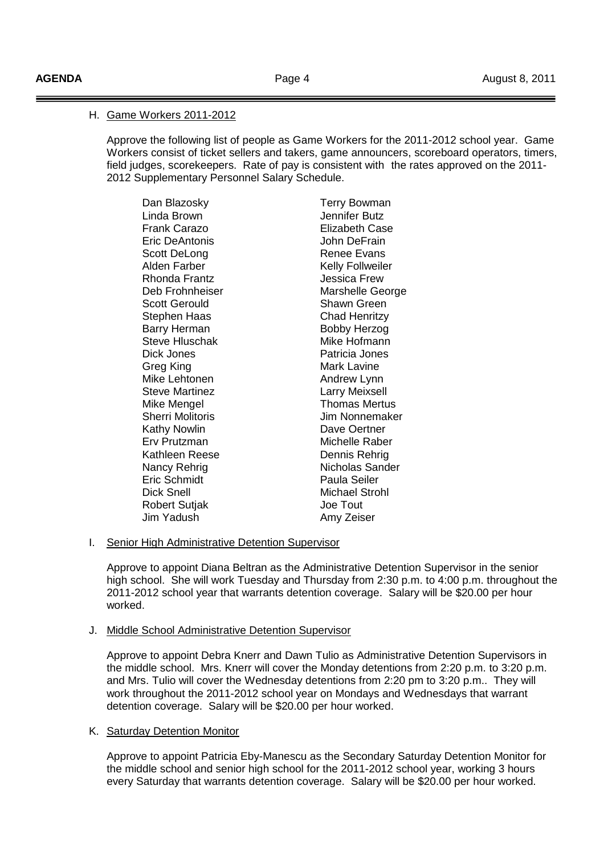٦

## H. Game Workers 2011-2012

 Approve the following list of people as Game Workers for the 2011-2012 school year. Game Workers consist of ticket sellers and takers, game announcers, scoreboard operators, timers, field judges, scorekeepers. Rate of pay is consistent with the rates approved on the 2011- 2012 Supplementary Personnel Salary Schedule.

Dan Blazosky **Terry Bowman** Linda Brown Jennifer Butz Frank Carazo Elizabeth Case Eric DeAntonis John DeFrain Scott DeLong **Renee Evans** Alden Farber **Kelly Follweiler** Rhonda Frantz **Martia Election State State State State State State State State State State State State State State** Deb Frohnheiser Marshelle George Scott Gerould Shawn Green Stephen Haas Chad Henritzy Barry Herman Bobby Herzog Steve Hluschak Dick Jones Patricia Jones Greg King **Mark Laying** Mark Lavine Mike Lehtonen **Andrew Lynn** Steve Martinez **Larry Meixsell** Mike Mengel **Thomas Mertus** Sherri Molitoris **Manual Accord Molitoris** Jim Nonnemaker Kathy Nowlin **Dave Oertner**  Erv Prutzman Michelle Raber Kathleen Reese Dennis Rehrig Nancy Rehrig Nicholas Sander Eric Schmidt Paula Seiler Dick Snell Michael Strohl Robert Sutjak **Joe Tout** Jim Yadush Amy Zeiser

## I. Senior High Administrative Detention Supervisor

 Approve to appoint Diana Beltran as the Administrative Detention Supervisor in the senior high school. She will work Tuesday and Thursday from 2:30 p.m. to 4:00 p.m. throughout the 2011-2012 school year that warrants detention coverage. Salary will be \$20.00 per hour worked.

## J. Middle School Administrative Detention Supervisor

 Approve to appoint Debra Knerr and Dawn Tulio as Administrative Detention Supervisors in the middle school. Mrs. Knerr will cover the Monday detentions from 2:20 p.m. to 3:20 p.m. and Mrs. Tulio will cover the Wednesday detentions from 2:20 pm to 3:20 p.m.. They will work throughout the 2011-2012 school year on Mondays and Wednesdays that warrant detention coverage. Salary will be \$20.00 per hour worked.

## K. Saturday Detention Monitor

 Approve to appoint Patricia Eby-Manescu as the Secondary Saturday Detention Monitor for the middle school and senior high school for the 2011-2012 school year, working 3 hours every Saturday that warrants detention coverage. Salary will be \$20.00 per hour worked.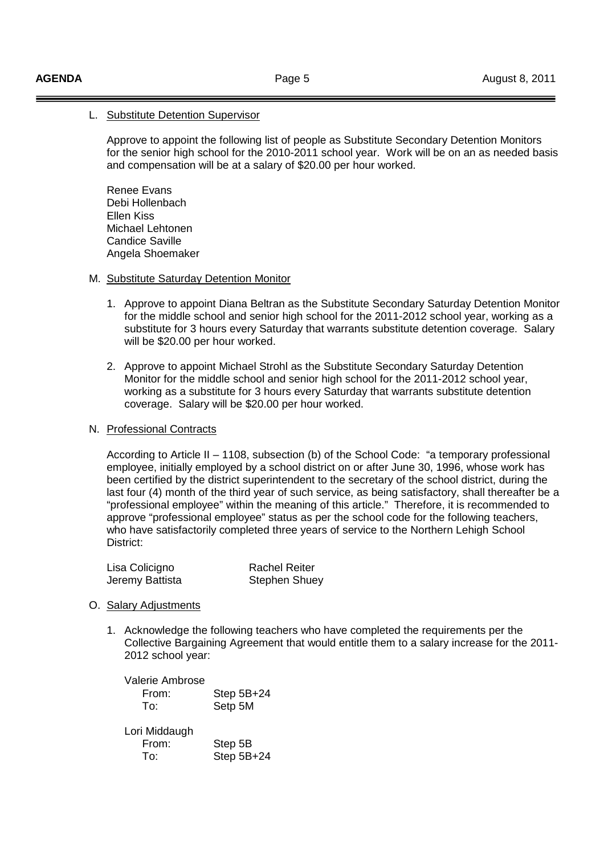## L. Substitute Detention Supervisor

 Approve to appoint the following list of people as Substitute Secondary Detention Monitors for the senior high school for the 2010-2011 school year. Work will be on an as needed basis and compensation will be at a salary of \$20.00 per hour worked.

 Renee Evans Debi Hollenbach Ellen Kiss Michael Lehtonen Candice Saville Angela Shoemaker

#### M. Substitute Saturday Detention Monitor

- 1. Approve to appoint Diana Beltran as the Substitute Secondary Saturday Detention Monitor for the middle school and senior high school for the 2011-2012 school year, working as a substitute for 3 hours every Saturday that warrants substitute detention coverage. Salary will be \$20.00 per hour worked.
- 2. Approve to appoint Michael Strohl as the Substitute Secondary Saturday Detention Monitor for the middle school and senior high school for the 2011-2012 school year, working as a substitute for 3 hours every Saturday that warrants substitute detention coverage. Salary will be \$20.00 per hour worked.

#### N. Professional Contracts

 According to Article II – 1108, subsection (b) of the School Code: "a temporary professional employee, initially employed by a school district on or after June 30, 1996, whose work has been certified by the district superintendent to the secretary of the school district, during the last four (4) month of the third year of such service, as being satisfactory, shall thereafter be a "professional employee" within the meaning of this article." Therefore, it is recommended to approve "professional employee" status as per the school code for the following teachers, who have satisfactorily completed three years of service to the Northern Lehigh School District:

| Lisa Colicigno  | <b>Rachel Reiter</b> |
|-----------------|----------------------|
| Jeremy Battista | <b>Stephen Shuey</b> |

#### O. Salary Adjustments

1. Acknowledge the following teachers who have completed the requirements per the Collective Bargaining Agreement that would entitle them to a salary increase for the 2011- 2012 school year:

| <b>Valerie Ambrose</b><br>From:<br>To: | Step $5B+24$<br>Setp 5M |
|----------------------------------------|-------------------------|
| Lori Middaugh<br>From:<br>To.          | Step 5B<br>Step 5B+24   |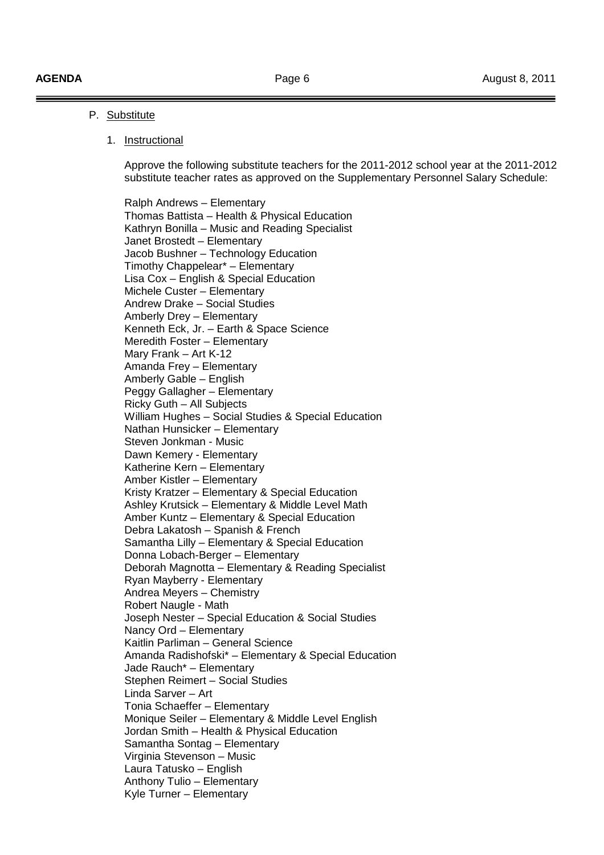#### P. Substitute

#### 1. Instructional

 Approve the following substitute teachers for the 2011-2012 school year at the 2011-2012 substitute teacher rates as approved on the Supplementary Personnel Salary Schedule:

 Ralph Andrews – Elementary Thomas Battista – Health & Physical Education Kathryn Bonilla – Music and Reading Specialist Janet Brostedt – Elementary Jacob Bushner – Technology Education Timothy Chappelear\* – Elementary Lisa Cox – English & Special Education Michele Custer – Elementary Andrew Drake – Social Studies Amberly Drey – Elementary Kenneth Eck, Jr. – Earth & Space Science Meredith Foster – Elementary Mary Frank – Art K-12 Amanda Frey – Elementary Amberly Gable – English Peggy Gallagher – Elementary Ricky Guth – All Subjects William Hughes – Social Studies & Special Education Nathan Hunsicker – Elementary Steven Jonkman - Music Dawn Kemery - Elementary Katherine Kern – Elementary Amber Kistler – Elementary Kristy Kratzer – Elementary & Special Education Ashley Krutsick – Elementary & Middle Level Math Amber Kuntz – Elementary & Special Education Debra Lakatosh – Spanish & French Samantha Lilly – Elementary & Special Education Donna Lobach-Berger – Elementary Deborah Magnotta – Elementary & Reading Specialist Ryan Mayberry - Elementary Andrea Meyers – Chemistry Robert Naugle - Math Joseph Nester – Special Education & Social Studies Nancy Ord – Elementary Kaitlin Parliman – General Science Amanda Radishofski\* – Elementary & Special Education Jade Rauch\* – Elementary Stephen Reimert – Social Studies Linda Sarver – Art Tonia Schaeffer – Elementary Monique Seiler – Elementary & Middle Level English Jordan Smith – Health & Physical Education Samantha Sontag – Elementary Virginia Stevenson – Music Laura Tatusko – English Anthony Tulio – Elementary Kyle Turner – Elementary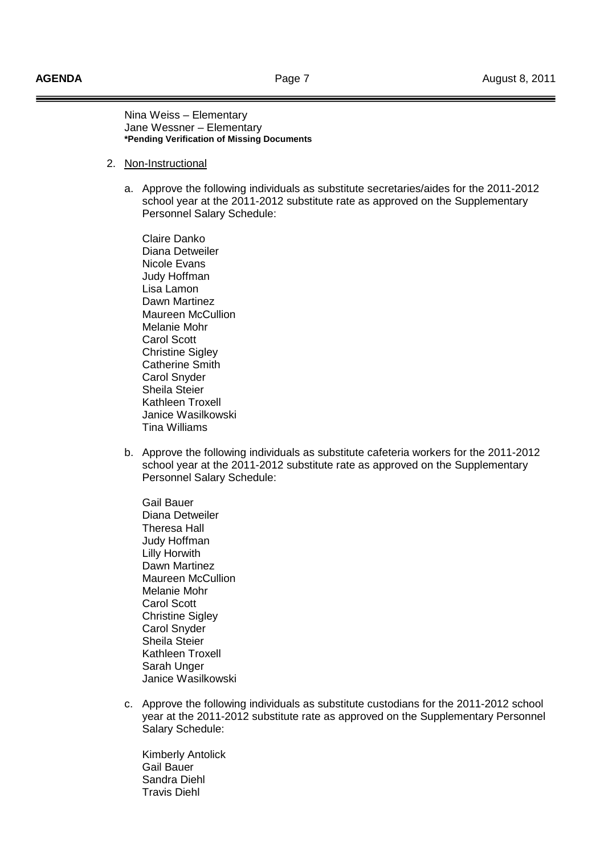Nina Weiss – Elementary Jane Wessner – Elementary **\*Pending Verification of Missing Documents** 

- 2. Non-Instructional
	- a. Approve the following individuals as substitute secretaries/aides for the 2011-2012 school year at the 2011-2012 substitute rate as approved on the Supplementary Personnel Salary Schedule:

 Claire Danko Diana Detweiler Nicole Evans Judy Hoffman Lisa Lamon Dawn Martinez Maureen McCullion Melanie Mohr Carol Scott **Christine Sigley**  Catherine Smith Carol Snyder Sheila Steier Kathleen Troxell Janice Wasilkowski Tina Williams

b. Approve the following individuals as substitute cafeteria workers for the 2011-2012 school year at the 2011-2012 substitute rate as approved on the Supplementary Personnel Salary Schedule:

 Gail Bauer Diana Detweiler Theresa Hall Judy Hoffman Lilly Horwith Dawn Martinez Maureen McCullion Melanie Mohr Carol Scott Christine Sigley Carol Snyder Sheila Steier Kathleen Troxell Sarah Unger Janice Wasilkowski

c. Approve the following individuals as substitute custodians for the 2011-2012 school year at the 2011-2012 substitute rate as approved on the Supplementary Personnel Salary Schedule:

 Kimberly Antolick Gail Bauer Sandra Diehl Travis Diehl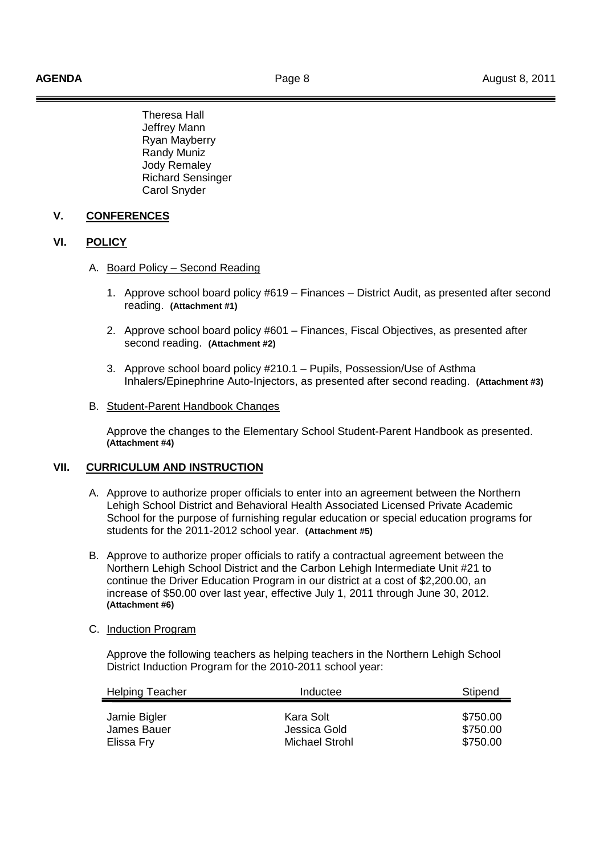Theresa Hall Jeffrey Mann Ryan Mayberry Randy Muniz Jody Remaley Richard Sensinger Carol Snyder

## **V. CONFERENCES**

## **VI. POLICY**

- A. Board Policy Second Reading
	- 1. Approve school board policy #619 Finances District Audit, as presented after second reading. **(Attachment #1)**
	- 2. Approve school board policy #601 Finances, Fiscal Objectives, as presented after second reading. **(Attachment #2)**
	- 3. Approve school board policy #210.1 Pupils, Possession/Use of Asthma Inhalers/Epinephrine Auto-Injectors, as presented after second reading. **(Attachment #3)**

#### B. Student-Parent Handbook Changes

Approve the changes to the Elementary School Student-Parent Handbook as presented. **(Attachment #4)**

## **VII. CURRICULUM AND INSTRUCTION**

- A. Approve to authorize proper officials to enter into an agreement between the Northern Lehigh School District and Behavioral Health Associated Licensed Private Academic School for the purpose of furnishing regular education or special education programs for students for the 2011-2012 school year. **(Attachment #5)**
- B. Approve to authorize proper officials to ratify a contractual agreement between the Northern Lehigh School District and the Carbon Lehigh Intermediate Unit #21 to continue the Driver Education Program in our district at a cost of \$2,200.00, an increase of \$50.00 over last year, effective July 1, 2011 through June 30, 2012. **(Attachment #6)**
- C. Induction Program

 Approve the following teachers as helping teachers in the Northern Lehigh School District Induction Program for the 2010-2011 school year:

| <b>Helping Teacher</b>                    | Inductee                                    | Stipend                          |
|-------------------------------------------|---------------------------------------------|----------------------------------|
| Jamie Bigler<br>James Bauer<br>Elissa Fry | Kara Solt<br>Jessica Gold<br>Michael Strohl | \$750.00<br>\$750.00<br>\$750.00 |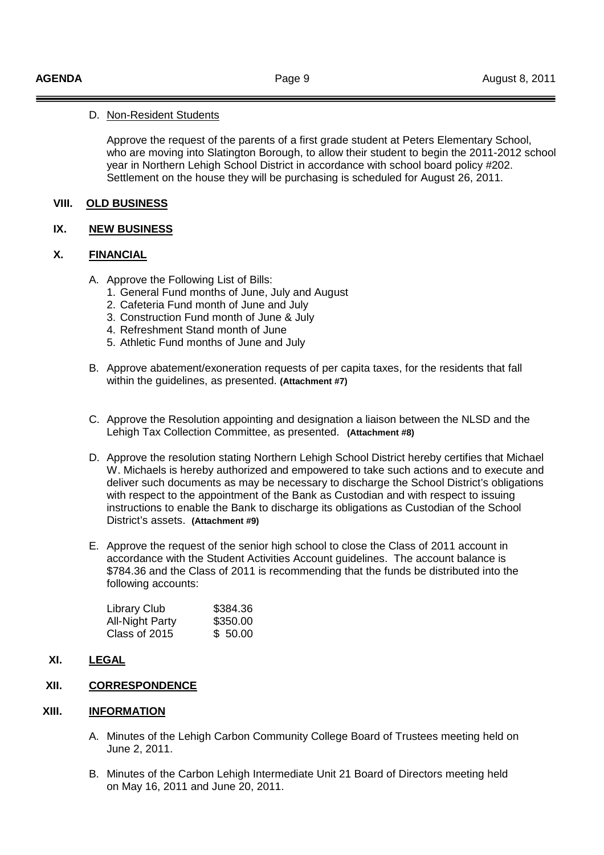## D. Non-Resident Students

 Approve the request of the parents of a first grade student at Peters Elementary School, who are moving into Slatington Borough, to allow their student to begin the 2011-2012 school year in Northern Lehigh School District in accordance with school board policy #202. Settlement on the house they will be purchasing is scheduled for August 26, 2011.

## **VIII. OLD BUSINESS**

## **IX. NEW BUSINESS**

## **X. FINANCIAL**

- A. Approve the Following List of Bills:
	- 1. General Fund months of June, July and August
	- 2. Cafeteria Fund month of June and July
	- 3. Construction Fund month of June & July
	- 4. Refreshment Stand month of June
	- 5. Athletic Fund months of June and July
- B. Approve abatement/exoneration requests of per capita taxes, for the residents that fall within the guidelines, as presented. **(Attachment #7)**
- C. Approve the Resolution appointing and designation a liaison between the NLSD and the Lehigh Tax Collection Committee, as presented. **(Attachment #8)**
- D. Approve the resolution stating Northern Lehigh School District hereby certifies that Michael W. Michaels is hereby authorized and empowered to take such actions and to execute and deliver such documents as may be necessary to discharge the School District's obligations with respect to the appointment of the Bank as Custodian and with respect to issuing instructions to enable the Bank to discharge its obligations as Custodian of the School District's assets. **(Attachment #9)**
- E. Approve the request of the senior high school to close the Class of 2011 account in accordance with the Student Activities Account guidelines. The account balance is \$784.36 and the Class of 2011 is recommending that the funds be distributed into the following accounts:

| <b>Library Club</b>    | \$384.36 |
|------------------------|----------|
| <b>All-Night Party</b> | \$350.00 |
| Class of 2015          | \$ 50.00 |

**XI. LEGAL**

# **XII. CORRESPONDENCE**

## **XIII. INFORMATION**

- A. Minutes of the Lehigh Carbon Community College Board of Trustees meeting held on June 2, 2011.
- B. Minutes of the Carbon Lehigh Intermediate Unit 21 Board of Directors meeting held on May 16, 2011 and June 20, 2011.